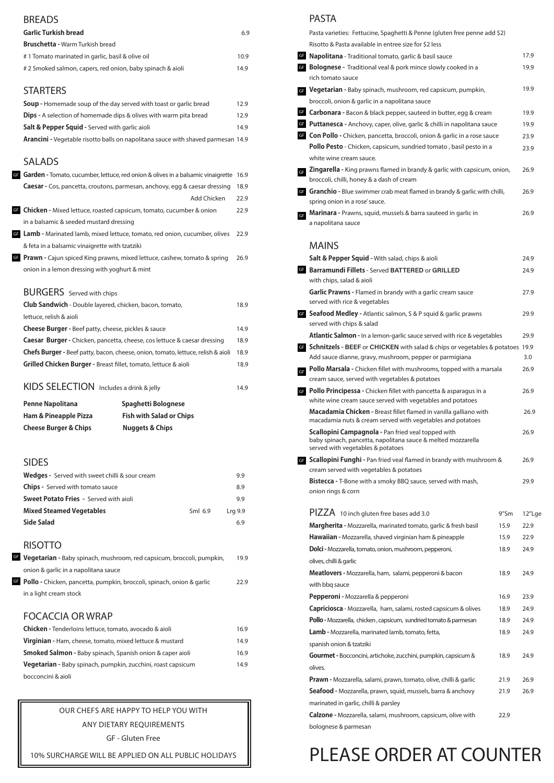## BREADS

| <b>Garlic Turkish bread</b>                                | 69  |
|------------------------------------------------------------|-----|
| <b>Bruschetta - Warm Turkish bread</b>                     |     |
| # 1 Tomato marinated in garlic, basil & olive oil          | 109 |
| # 2 Smoked salmon, capers, red onion, baby spinach & aioli | 149 |

# **STARTERS**

| <b>Soup</b> - Homemade soup of the day served with toast or garlic bread         | 12.9 |
|----------------------------------------------------------------------------------|------|
| <b>Dips</b> - A selection of homemade dips & olives with warm pita bread         | 12.9 |
| Salt & Pepper Squid - Served with garlic aioli                                   | 14.9 |
| Arancini - Vegetable risotto balls on napolitana sauce with shaved parmesan 14.9 |      |

# SALADS

|           | 0.Y     |
|-----------|---------|
|           | 99      |
| $Sml$ 6.9 | Lrg 9.9 |
|           | 69      |
|           |         |

# RISOTTO

in a light cream stock

### FOCACCIA OR WRAP

| Chicken - Tenderloins lettuce, tomato, avocado & aioli               | 16.9 |
|----------------------------------------------------------------------|------|
| Virginian - Ham, cheese, tomato, mixed lettuce & mustard             | 14.9 |
| <b>Smoked Salmon - Baby spinach, Spanish onion &amp; caper aioli</b> | 16.9 |
| Vegetarian - Baby spinach, pumpkin, zucchini, roast capsicum         | 14.9 |
| bocconcini & aioli                                                   |      |

# PASTA

| Pepperoni - Mozzarella & pepperoni                                       | 16.9 | 23.9 |
|--------------------------------------------------------------------------|------|------|
| <b>Capriciosca</b> - Mozzarella, ham, salami, rosted capsicum & olives   | 18.9 | 24.9 |
| Pollo - Mozzarella, chicken, capsicum, sundried tomato & parmesan        | 18.9 | 24.9 |
| <b>Lamb</b> - Mozzarella, marinated lamb, tomato, fetta,                 | 18.9 | 24.9 |
| spanish onion & tzatziki                                                 |      |      |
| <b>Gourmet</b> - Bocconcini, artichoke, zucchini, pumpkin, capsicum &    | 18.9 | 24.9 |
| olives.                                                                  |      |      |
| <b>Prawn</b> - Mozzarella, salami, prawn, tomato, olive, chilli & garlic | 21.9 | 26.9 |
| Seafood - Mozzarella, prawn, squid, mussels, barra & anchovy             | 21.9 | 26.9 |
| marinated in garlic, chilli & parsley                                    |      |      |
| <b>Calzone</b> - Mozzarella, salami, mushroom, capsicum, olive with      | 22.9 |      |
| bolognese & parmesan                                                     |      |      |

|                                                                               | <b>GF</b> Garden - Tomato, cucumber, lettuce, red onion & olives in a balsamic vinaigrette 16.9 |      |
|-------------------------------------------------------------------------------|-------------------------------------------------------------------------------------------------|------|
|                                                                               | Caesar - Cos, pancetta, croutons, parmesan, anchovy, egg & caesar dressing                      | 18.9 |
|                                                                               | Add Chicken                                                                                     | 22.9 |
| <b>GF</b> Chicken - Mixed lettuce, roasted capsicum, tomato, cucumber & onion |                                                                                                 | 22.9 |
| in a balsamic & seeded mustard dressing                                       |                                                                                                 |      |
|                                                                               | <b>GF</b> Lamb - Marinated lamb, mixed lettuce, tomato, red onion, cucumber, olives             | 22.9 |
| & feta in a balsamic vinaigrette with tzatziki                                |                                                                                                 |      |
|                                                                               | <b>GF</b> Prawn - Cajun spiced King prawns, mixed lettuce, cashew, tomato & spring              | 26.9 |
| onion in a lemon dressing with yoghurt & mint                                 |                                                                                                 |      |
|                                                                               |                                                                                                 |      |
| <b>BURGERS</b> Served with chips                                              |                                                                                                 |      |
| Club Sandwich - Double layered, chicken, bacon, tomato,                       |                                                                                                 | 18.9 |
| lettuce, relish & aioli                                                       |                                                                                                 |      |
| <b>Cheese Burger</b> - Beef patty, cheese, pickles & sauce                    |                                                                                                 | 14.9 |
|                                                                               | <b>Caesar Burger</b> - Chicken, pancetta, cheese, cos lettuce & caesar dressing                 | 18.9 |
|                                                                               | <b>Chefs Burger</b> - Beef patty, bacon, cheese, onion, tomato, lettuce, relish & aioli         | 18.9 |
| Grilled Chicken Burger - Breast fillet, tomato, lettuce & aioli               |                                                                                                 | 18.9 |
| KIDS SELECTION Includes a drink & jelly                                       |                                                                                                 | 14.9 |
| <b>Penne Napolitana</b>                                                       | <b>Spaghetti Bolognese</b>                                                                      |      |
| <b>Ham &amp; Pineapple Pizza</b>                                              | <b>Fish with Salad or Chips</b>                                                                 |      |
| <b>Cheese Burger &amp; Chips</b>                                              | <b>Nuggets &amp; Chips</b>                                                                      |      |
|                                                                               |                                                                                                 |      |
| <b>SIDES</b>                                                                  |                                                                                                 |      |
| <b>Wedges</b> - Served with sweet chilli & sour cream                         |                                                                                                 | 9.9  |
| <b>Chips</b> - Served with tomato sauce                                       |                                                                                                 | 8.9  |
| $\mathcal{L} = \mathcal{L} \times \mathcal{L} \times \mathcal{L}$             |                                                                                                 |      |

| GF Vegetarian - Baby spinach, mushroom, red capsicum, broccoli, pumpkin,        | 19.9 |
|---------------------------------------------------------------------------------|------|
| onion & garlic in a napolitana sauce                                            |      |
| <b>GF</b> Pollo - Chicken, pancetta, pumpkin, broccoli, spinach, onion & garlic | 229  |

|                               | PASTA                                                                                                                           |      |
|-------------------------------|---------------------------------------------------------------------------------------------------------------------------------|------|
|                               | Pasta varieties: Fettucine, Spaghetti & Penne (gluten free penne add \$2)                                                       |      |
|                               | Risotto & Pasta available in entree size for \$2 less                                                                           |      |
| <b>GF</b>                     | Napolitana - Traditional tomato, garlic & basil sauce                                                                           | 17.9 |
| GF                            | <b>Bolognese</b> - Traditional veal & pork mince slowly cooked in a                                                             | 19.9 |
|                               | rich tomato sauce                                                                                                               |      |
| GF                            | Vegetarian - Baby spinach, mushroom, red capsicum, pumpkin,                                                                     | 19.9 |
|                               | broccoli, onion & garlic in a napolitana sauce                                                                                  |      |
|                               | GF Carbonara - Bacon & black pepper, sauteed in butter, egg & cream                                                             | 19.9 |
|                               | <b>GF</b> Puttanesca - Anchovy, caper, olive, garlic & chilli in napolitana sauce                                               | 19.9 |
|                               | G Con Pollo - Chicken, pancetta, broccoli, onion & garlic in a rose sauce                                                       | 23.9 |
|                               | Pollo Pesto - Chicken, capsicum, sundried tomato, basil pesto in a                                                              | 23.9 |
|                               | white wine cream sauce.                                                                                                         |      |
| <b>GF</b>                     | Zingarella - King prawns flamed in brandy & garlic with capsicum, onion,                                                        | 26.9 |
|                               | broccoli, chilli, honey & a dash of cream                                                                                       |      |
| GF                            | Granchio - Blue swimmer crab meat flamed in brandy & garlic with chilli,<br>spring onion in a rose' sauce.                      | 26.9 |
|                               | Marinara - Prawns, squid, mussels & barra sauteed in garlic in                                                                  | 26.9 |
| $\mathsf{GF}% _{\mathcal{F}}$ | a napolitana sauce                                                                                                              |      |
|                               |                                                                                                                                 |      |
|                               | <b>MAINS</b>                                                                                                                    |      |
|                               | <b>Salt &amp; Pepper Squid - With salad, chips &amp; aioli</b>                                                                  | 24.9 |
| <b>GF</b>                     | <b>Barramundi Fillets - Served BATTERED or GRILLED</b>                                                                          | 24.9 |
|                               | with chips, salad & aioli                                                                                                       |      |
|                               | <b>Garlic Prawns</b> - Flamed in brandy with a garlic cream sauce                                                               | 27.9 |
|                               | served with rice & vegetables                                                                                                   |      |
|                               | <b>GF</b> Seafood Medley - Atlantic salmon, S & P squid & garlic prawns                                                         | 29.9 |
|                               | served with chips & salad                                                                                                       |      |
|                               | Atlantic Salmon - In a lemon-garlic sauce served with rice & vegetables                                                         | 29.9 |
|                               | <b>GF</b> Schnitzels - BEEF or CHICKEN with salad & chips or vegetables & potatoes 19.9                                         |      |
|                               | Add sauce dianne, gravy, mushroom, pepper or parmigiana                                                                         | 3.0  |
| $\mathsf{GF}% _{\mathcal{F}}$ | <b>Pollo Marsala -</b> Chicken fillet with mushrooms, topped with a marsala                                                     | 26.9 |
|                               | cream sauce, served with vegetables & potatoes                                                                                  |      |
| GF                            | Pollo Principessa - Chicken fillet with pancetta & asparagus in a                                                               | 26.9 |
|                               | white wine cream sauce served with vegetables and potatoes                                                                      |      |
|                               | Macadamia Chicken - Breast fillet flamed in vanilla galliano with<br>macadamia nuts & cream served with vegetables and potatoes | 26.9 |
|                               | <b>Scallopini Campagnola - Pan fried veal topped with</b>                                                                       | 26.9 |
|                               | baby spinach, pancetta, napolitana sauce & melted mozzarella                                                                    |      |

**Scallopini Funghi -** Pan fried veal flamed in brandy with mushroom & 26.9 GF cream served with vegetables & potatoes **Bistecca -** T-Bone with a smoky BBQ sauce, served with mash, 29.9 onion rings & corn

| PIZZA 10 inch gluten free bases add 3.0                         | 9"Sm | 12"Lge |
|-----------------------------------------------------------------|------|--------|
| Margherita - Mozzarella, marinated tomato, garlic & fresh basil | 15.9 | 22.9   |
| Hawaiian - Mozzarella, shaved virginian ham & pineapple         | 15.9 | 22.9   |
| <b>Dolci</b> - Mozzarella, tomato, onion, mushroom, pepperoni,  | 18.9 | 24.9   |
| olives, chilli & garlic                                         |      |        |
| Meatlovers - Mozzarella, ham, salami, pepperoni & bacon         | 18.9 | 24.9   |
| with bbg sauce                                                  |      |        |

# PLEASE ORDER AT COUNTER

### OUR CHEFS ARE HAPPY TO HELP YOU WITH

### ANY DIETARY REQUIREMENTS

GF - Gluten Free

10% SURCHARGE WILL BE APPLIED ON ALL PUBLIC HOLIDAYS